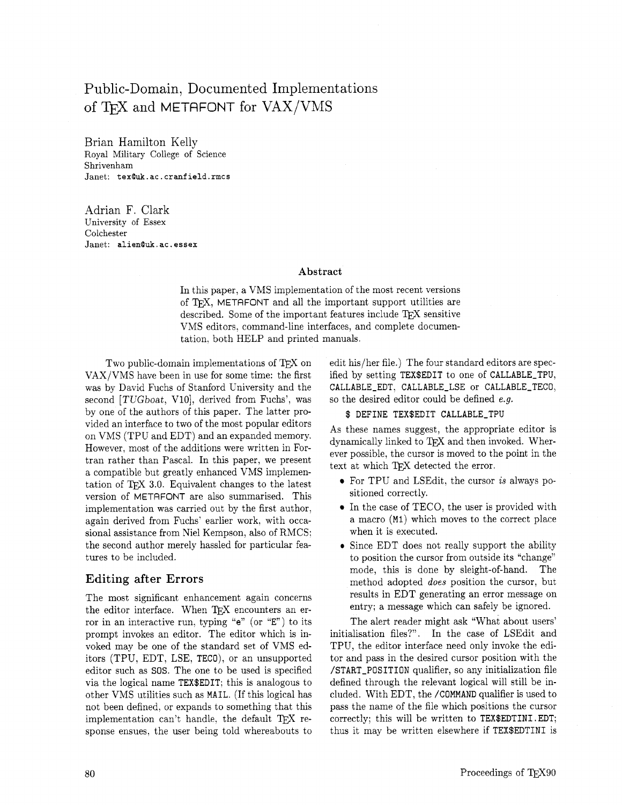# Public-Domain, Documented Implementations of TFX and METAFONT for VAX/VMS

Brian Hamilton Kelly Royal Military College of Science Shrivenham Janet: **texQuk. ac** . **cranf ield.rmcs** 

Adrian F. Clark University of Essex Colchester Janet: **alienQuk. ac. essex** 

#### **Abstract**

In this paper, a VMS implementation of the most recent versions of TFX, METAFONT and all the important support utilities are described. Some of the important features include TFX sensitive VMS editors, command-line interfaces, and complete documentation, both HELP and printed manuals.

Two public-domain implementations of  $T_{E}X$  on VAX/VMS have been in use for some time: the first was by David Fuchs of Stanford University and the second *[TUGboat, V10]*, derived from Fuchs', was by one of the authors of this paper. The latter provided an interface to two of the most popular editors on VMS (TPU and EDT) and an expanded memory. However, most of the additions were written in Fortran rather than Pascal. In this paper, we present a compatible but greatly enhanced VMS implementation of TEX 3.0. Equivalent changes to the latest version of METAFONT are also summarised. This implementation was carried out by the first author, again derived from Fuchs' earlier work, with occasional assistance from Niel Kempson, also of RMCS: the second author merely hassled for particular features to be included.

# **Editing after Errors**

The most significant enhancement again concerns the editor interface. When TFX encounters an error in an interactive run, typing "e" (or "E") to its prompt invokes an editor. The editor which is invoked may be one of the standard set of VMS editors (TPU, EDT, LSE, TECO), or an unsupported editor such as SOS. The one to be used is specified via the logical name TEX\$EDIT; this is analogous to other VMS utilities such as MAIL. (If this logical has not been defined, or expands to something that this implementation can't handle, the default  $T_{\text{F}}X$  response ensues, the user being told whereabouts to

edit his/her file.) The four standard editors are specified by setting TEX\$EDIT to one of CALLABLE-TPU, CALLABLE-EDT, CALLABLE-LSE or CALLABLE-TECO, so the desired editor could be defined e.g.

#### \$ DEFINE TEX\$EDIT CALLABLE\_TPU

As these names suggest, the appropriate editor is dynamically linked to TEX and then invoked. Wherever possible, the cursor is moved to the point in the text at which TFX detected the error.

- For TPU and LSEdit, the cursor is always positioned correctly.
- In the case of TECO, the user is provided with a macro (MI) which moves to the correct place when it is executed.
- Since EDT does not really support the ability to position the cursor from outside its "change" mode, this is done by sleight-of-hand. The method adopted does position the cursor, but results in EDT generating an error message on entry; a message which can safely be ignored.

The alert reader might ask "What about users' initialisation files?". In the case of LSEdit and TPU, the editor interface need only invoke the editor and pass in the desired cursor position with the /START-POSITION qualifier, so any initialization file defined through the relevant logical will still be included. With EDT, the /COMMAND qualifier is used to pass the name of the file which positions the cursor correctly; this will be written to TEX\$EDTINI . EDT; thus it may be written elsewhere if TEX\$EDTINI is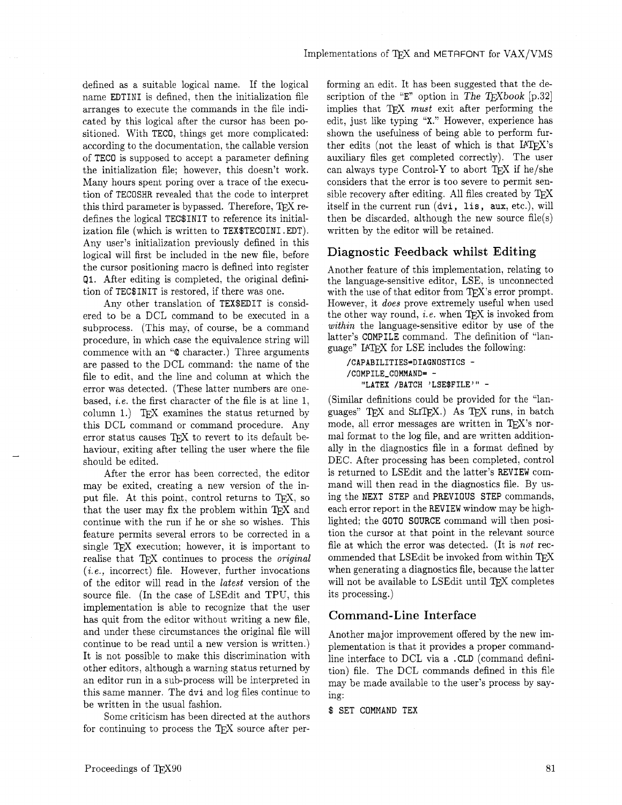defined as a suitable logical name. If the logical name EDTINI is defined, then the initialization file arranges to execute the commands in the file indicated by this logical after the cursor has been positioned. With TECO, things get more complicated: according to the documentation, the callable version of TECO is supposed to accept a parameter defining the initialization file; however. this doesn't work. Many hours spent poring over a trace of the execution of TECOSHR revealed that the code to interpret this third parameter is bypassed. Therefore,  $T_{F}X$  redefines the logical TEC\$INIT to reference its initialization file (which is written to TEX\$TECOINI .EDT). Any user's initialization previously defined in this logical will first be included in the new file, before the cursor positioning macro is defined into register **91.** After editing is completed, the original definition of TEC\$INIT is restored, if there was one.

Any other translation of TEX\$EDIT is considered to be a DCL command to be executed in a subprocess. (This may, of course, be a command procedure, in which case the equivalence string will commence with an **"Q** character.) Three arguments are passed to the DCL command: the name of the file to edit, and the line and column at which the error was detected. (These latter numbers are onebased, i.e. the first character of the file is at line 1, column 1.) TEX examines the status returned by this DCL command or command procedure. Any error status causes T<sub>E</sub>X to revert to its default behaviour, exiting after telling the user where the file should be edited.

After the error has been corrected, the editor may be exited, creating a new version of the input file. At this point, control returns to TEX, so that the user may fix the problem within T<sub>E</sub>X and continue with the run if he or she so wishes. This feature permits several errors to be corrected in a single T<sub>E</sub>X execution; however, it is important to realise that *QX* continues to process the original  $(i.e.,$  incorrect) file. However, further invocations of the editor will read in the latest version of the source file. (In the case of LSEdit and TPU, this implementation is able to recognize that the user has quit from the editor without writing a new file, and under these circumstances the original file will continue to be read until a new version is written.) It is not possible to make this discrimination with other editors, although a warning status returned by an editor run in a sub-process will be interpreted in this same manner. The dvi and log files continue to be written in the usual fashion.

Some criticism has been directed at the authors for continuing to process the T $EX$  source after performing an edit. It has been suggested that the description of the "E" option in The T<sub>E</sub>Xbook [p.32] implies that  $T_{\text{F}}X$  must exit after performing the edit, just like typing "X." However, experience has shown the usefulness of being able to perform further edits (not the least of which is that IATEX's auxiliary files get completed correctly). The user can always type Control-Y to abort  $TFX$  if he/she considers that the error is too severe to permit sensible recovery after editing. All files created by itself in the current run (dvi, lis, aux, etc.), will then be discarded, although the new source file(s) written by the editor will be retained.

## Diagnostic Feedback whilst Editing

Another feature of this implementation, relating to the language-sensitive editor, LSE, is unconnected with the use of that editor from  $T_{F}X$ 's error prompt. However, it does prove extremely useful when used the other way round, *i.e.* when  $TFX$  is invoked from within the language-sensitive editor by use of the latter's COMPILE command. The definition of "language" IATEX for LSE includes the following:

**/CAPABILITIES=DIAGNOSTICS** - **/COMPILE-COMMAND=** - **"LATEX /BATCH 'LSE\$FILE'"** -

(Similar definitions could be provided for the "languages" TEX and SLITEX.) As TEX runs, in batch mode, all error messages are written in  $T<sub>E</sub>X$ 's normal format to the log file, and are written additionally in the diagnostics file in a format defined by DEC. After processing has been completed, control is returned to LSEdit and the latter's REVIEW command will then read in the diagnostics file. By using the NEXT STEP and PREVIOUS STEP commands, each error report in the REVIEW window may be highlighted; the GOT0 SOURCE command will then position the cursor at that point in the relevant source file at which the error was detected. (It is not recommended that LSEdit be invoked from within *QX*  when generating a diagnostics file, because the latter will not be available to LSEdit until TEX completes its processing.)

### Command-Line Interface

Another major improvement offered by the new implementation is that it provides a proper commandline interface to DCL via a .CLD (command definition) file. The DCL commands defined in this file may be made available to the user's process by saying:

#### \$ SET COMMAND TEX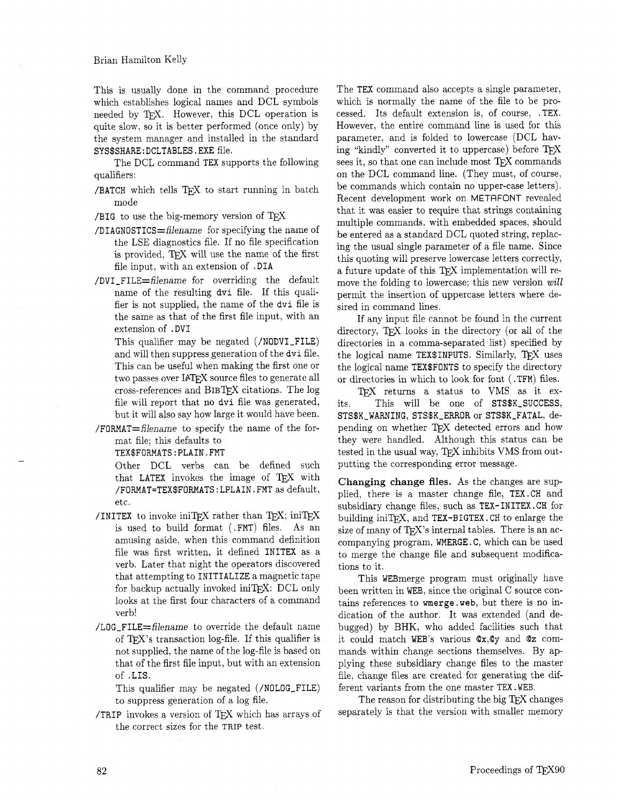This is usually done in the command procedure which establishes logical names and DCL symbols needed by TFX. However, this DCL operation is quite slow, so it is better performed (once only) by the system manager and installed in the standard SYS\$SHARE : DCLTABLES . EXE file.

The DCL command TEX supports the following qualifiers:

- /BATCH which tells  $T$  $E$ X to start running in batch mode
- /BIG to use the big-memory version of  $T_F X$
- $/DIAGNOSTICS = filename$  for specifying the name of the LSE diagnostics file. If no file specification is provided. TEX will use the name of the first file input, with an extension of .DIA
- /DVI-FILE=filename for overriding the default name of the resulting **dvi** file. If this qualifier is not supplied, the name of the **dvi** file is the same as that of the first file input, with an extension of . DVI
	- This qualifier may be negated (/NODVI-FILE) and will then suppress generation of the **dvi** file. This can be useful when making the first one or two passes over IATFX source files to generate all cross-references and BIBTEX citations. The log file will report that no **dvi** file was generated, but it will also say how large it would have been.
- /FORMAT=filename to specify the name of the format file; this defaults to

TEX\$FORMATS:PLAIN.FMT

Other DCL verbs can be defined such that LATEX invokes the image of TFX with **/FORMAT=TEX\$FORMATS:LPLAIN.FMT** as default, etc.

- /INITEX to invoke iniTEX rather than TEX; iniTEX is used to build format (.FMT) files. As an amusing aside, when this command definition file was first written, it defined INITEX as a verb. Later that night the operators discovered that attempting to INITIALIZE a magnetic tape for backup actually invoked iniT<sub>E</sub>X: DCL only looks at the first four characters of a command verb!
- /LOG\_FILE=filename to override the default name of  $TFX$ 's transaction log-file. If this qualifier is not supplied, the name of the log-file is based on that of the first file input, but with an extension of .LIS.

This qualifier may be negated (/NOLOG-FILE) to suppress generation of a log file.

/TRIP invokes a version of TFX which has arrays of the correct sizes for the TRIP test.

The TEX command also accepts a single parameter, which is normally the name of the file to be processed. Its default extension is, of course, .TEX. However, the entire command line is used for this parameter, and is folded to lowercase (DCL having "kindly" converted it to uppercase) before sees it, so that one can include most  $T_{E}X$  commands on the DCL command line. (They must, of course, be commands which contain no upper-case letters). Recent development work on METAFONT revealed that it was easier to require that strings containing multiple commands, with embedded spaces, should be entered as a standard DCL quoted string, replacing the usual single parameter of a file name. Since this quoting will preserve lowercase letters correctly, a future update of this TFX implementation will remove the folding to lowercase; this new version **will**  permit the insertion of uppercase letters where desired in command lines.

If any input file cannot be found in the current directory, TEX looks in the directory (or all of the directories in a comma-separated list) specified by the logical name TEX\$INPUTS. Similarly, TEX uses the logical name TEX\$FONTS to specify the directory or directories in which to look for font (.TFM) files.

TFX returns a status to VMS as it exits. This will be one of STS\$K-SUCCESS, STS\$K-WARNING, STS\$K-ERROR or STS\$K-FATAL, depending on whether TEX detected errors and how they were handled. Although this status can be pending on whether TEX detected errors and how<br>they were handled. Although this status can be<br>tested in the usual way, TEX inhibits VMS from out-<br>putting the corresponding error message. putting the corresponding error message.

**Changing change files.** As the changes are supplied, there is a master change file, TEX.CH and subsidiary change files, such as TEX- INITEX. CH for building in  $TFX$ , and  $TEX-BIGTEX$ . CH to enlarge the size of many of T<sub>E</sub>X's internal tables. There is an accompanying program, WMERGE. C, which can be used to merge the change file and subsequent modifications to it.

This WEBmerge program must originally have been written in WEB, since the original C source contains references to **wmerge** .web, but there is no indication of the author. It was extended (and debugged) by BHK, who added facilities such that it could match WEB'S various Qx,Qy and Qz commands within change sections themselves. By applying these subsidiary change files to the master file, change files are created for generating the different variants from the one master TEX .WEB.

The reason for distributing the big TEX changes separately is that the version with smaller memory